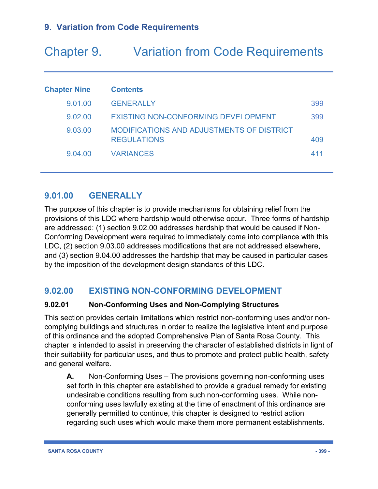# Chapter 9. Variation from Code Requirements

| <b>Chapter Nine</b> | <b>Contents</b>                                                        |     |
|---------------------|------------------------------------------------------------------------|-----|
| 9.01.00             | <b>GENERALLY</b>                                                       | 399 |
| 9.02.00             | <b>EXISTING NON-CONFORMING DEVELOPMENT</b>                             | 399 |
| 9.03.00             | <b>MODIFICATIONS AND ADJUSTMENTS OF DISTRICT</b><br><b>REGULATIONS</b> | 409 |
| 9.04.00             | <b>VARIANCES</b>                                                       | 411 |

# **9.01.00 GENERALLY**

The purpose of this chapter is to provide mechanisms for obtaining relief from the provisions of this LDC where hardship would otherwise occur. Three forms of hardship are addressed: (1) section 9.02.00 addresses hardship that would be caused if Non-Conforming Development were required to immediately come into compliance with this LDC, (2) section 9.03.00 addresses modifications that are not addressed elsewhere, and (3) section 9.04.00 addresses the hardship that may be caused in particular cases by the imposition of the development design standards of this LDC.

# **9.02.00 EXISTING NON-CONFORMING DEVELOPMENT**

#### **9.02.01 Non-Conforming Uses and Non-Complying Structures**

This section provides certain limitations which restrict non-conforming uses and/or noncomplying buildings and structures in order to realize the legislative intent and purpose of this ordinance and the adopted Comprehensive Plan of Santa Rosa County. This chapter is intended to assist in preserving the character of established districts in light of their suitability for particular uses, and thus to promote and protect public health, safety and general welfare.

**A.** Non-Conforming Uses – The provisions governing non-conforming uses set forth in this chapter are established to provide a gradual remedy for existing undesirable conditions resulting from such non-conforming uses. While nonconforming uses lawfully existing at the time of enactment of this ordinance are generally permitted to continue, this chapter is designed to restrict action regarding such uses which would make them more permanent establishments.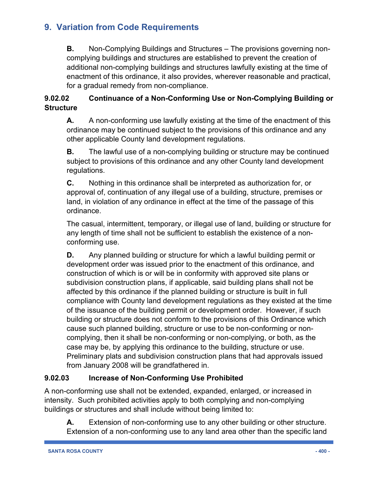**B.** Non-Complying Buildings and Structures – The provisions governing noncomplying buildings and structures are established to prevent the creation of additional non-complying buildings and structures lawfully existing at the time of enactment of this ordinance, it also provides, wherever reasonable and practical, for a gradual remedy from non-compliance.

#### **9.02.02 Continuance of a Non-Conforming Use or Non-Complying Building or Structure**

**A.** A non-conforming use lawfully existing at the time of the enactment of this ordinance may be continued subject to the provisions of this ordinance and any other applicable County land development regulations.

**B.** The lawful use of a non-complying building or structure may be continued subject to provisions of this ordinance and any other County land development regulations.

**C.** Nothing in this ordinance shall be interpreted as authorization for, or approval of, continuation of any illegal use of a building, structure, premises or land, in violation of any ordinance in effect at the time of the passage of this ordinance.

The casual, intermittent, temporary, or illegal use of land, building or structure for any length of time shall not be sufficient to establish the existence of a nonconforming use.

**D.** Any planned building or structure for which a lawful building permit or development order was issued prior to the enactment of this ordinance, and construction of which is or will be in conformity with approved site plans or subdivision construction plans, if applicable, said building plans shall not be affected by this ordinance if the planned building or structure is built in full compliance with County land development regulations as they existed at the time of the issuance of the building permit or development order. However, if such building or structure does not conform to the provisions of this Ordinance which cause such planned building, structure or use to be non-conforming or noncomplying, then it shall be non-conforming or non-complying, or both, as the case may be, by applying this ordinance to the building, structure or use. Preliminary plats and subdivision construction plans that had approvals issued from January 2008 will be grandfathered in.

#### **9.02.03 Increase of Non-Conforming Use Prohibited**

A non-conforming use shall not be extended, expanded, enlarged, or increased in intensity. Such prohibited activities apply to both complying and non-complying buildings or structures and shall include without being limited to:

**A.** Extension of non-conforming use to any other building or other structure. Extension of a non-conforming use to any land area other than the specific land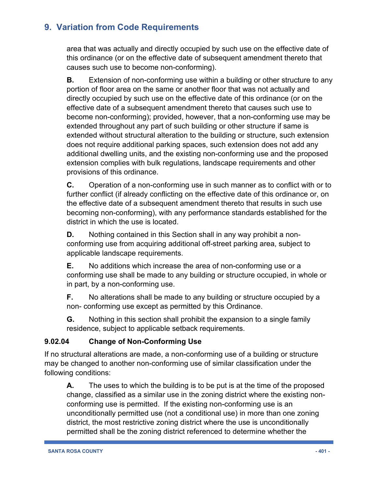area that was actually and directly occupied by such use on the effective date of this ordinance (or on the effective date of subsequent amendment thereto that causes such use to become non-conforming).

**B.** Extension of non-conforming use within a building or other structure to any portion of floor area on the same or another floor that was not actually and directly occupied by such use on the effective date of this ordinance (or on the effective date of a subsequent amendment thereto that causes such use to become non-conforming); provided, however, that a non-conforming use may be extended throughout any part of such building or other structure if same is extended without structural alteration to the building or structure, such extension does not require additional parking spaces, such extension does not add any additional dwelling units, and the existing non-conforming use and the proposed extension complies with bulk regulations, landscape requirements and other provisions of this ordinance.

**C.** Operation of a non-conforming use in such manner as to conflict with or to further conflict (if already conflicting on the effective date of this ordinance or, on the effective date of a subsequent amendment thereto that results in such use becoming non-conforming), with any performance standards established for the district in which the use is located.

**D.** Nothing contained in this Section shall in any way prohibit a nonconforming use from acquiring additional off-street parking area, subject to applicable landscape requirements.

**E.** No additions which increase the area of non-conforming use or a conforming use shall be made to any building or structure occupied, in whole or in part, by a non-conforming use.

**F.** No alterations shall be made to any building or structure occupied by a non- conforming use except as permitted by this Ordinance.

**G.** Nothing in this section shall prohibit the expansion to a single family residence, subject to applicable setback requirements.

#### **9.02.04 Change of Non-Conforming Use**

If no structural alterations are made, a non-conforming use of a building or structure may be changed to another non-conforming use of similar classification under the following conditions:

**A.** The uses to which the building is to be put is at the time of the proposed change, classified as a similar use in the zoning district where the existing nonconforming use is permitted. If the existing non-conforming use is an unconditionally permitted use (not a conditional use) in more than one zoning district, the most restrictive zoning district where the use is unconditionally permitted shall be the zoning district referenced to determine whether the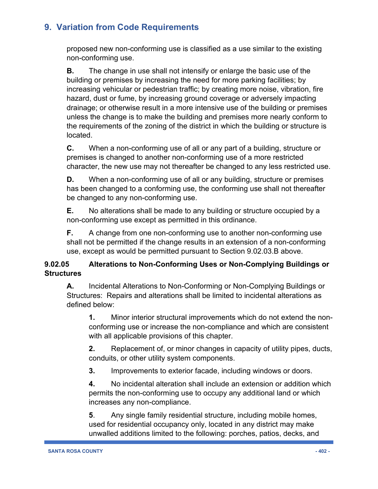proposed new non-conforming use is classified as a use similar to the existing non-conforming use.

**B.** The change in use shall not intensify or enlarge the basic use of the building or premises by increasing the need for more parking facilities; by increasing vehicular or pedestrian traffic; by creating more noise, vibration, fire hazard, dust or fume, by increasing ground coverage or adversely impacting drainage; or otherwise result in a more intensive use of the building or premises unless the change is to make the building and premises more nearly conform to the requirements of the zoning of the district in which the building or structure is located.

**C.** When a non-conforming use of all or any part of a building, structure or premises is changed to another non-conforming use of a more restricted character, the new use may not thereafter be changed to any less restricted use.

**D.** When a non-conforming use of all or any building, structure or premises has been changed to a conforming use, the conforming use shall not thereafter be changed to any non-conforming use.

**E.** No alterations shall be made to any building or structure occupied by a non-conforming use except as permitted in this ordinance.

**F.** A change from one non-conforming use to another non-conforming use shall not be permitted if the change results in an extension of a non-conforming use, except as would be permitted pursuant to Section 9.02.03.B above.

#### **9.02.05 Alterations to Non-Conforming Uses or Non-Complying Buildings or Structures**

**A.** Incidental Alterations to Non-Conforming or Non-Complying Buildings or Structures: Repairs and alterations shall be limited to incidental alterations as defined below:

**1.** Minor interior structural improvements which do not extend the nonconforming use or increase the non-compliance and which are consistent with all applicable provisions of this chapter.

**2.** Replacement of, or minor changes in capacity of utility pipes, ducts, conduits, or other utility system components.

**3.** Improvements to exterior facade, including windows or doors.

**4.** No incidental alteration shall include an extension or addition which permits the non-conforming use to occupy any additional land or which increases any non-compliance.

**5**. Any single family residential structure, including mobile homes, used for residential occupancy only, located in any district may make unwalled additions limited to the following: porches, patios, decks, and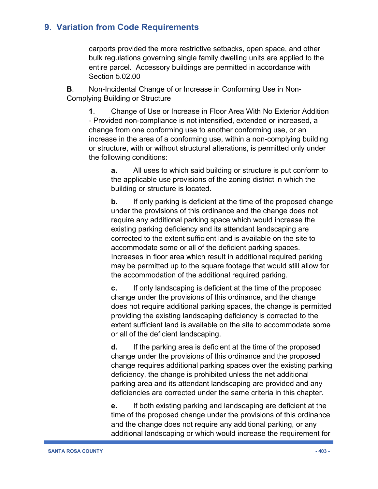carports provided the more restrictive setbacks, open space, and other bulk regulations governing single family dwelling units are applied to the entire parcel. Accessory buildings are permitted in accordance with Section 5.02.00

**B**. Non-Incidental Change of or Increase in Conforming Use in Non-Complying Building or Structure

**1**. Change of Use or Increase in Floor Area With No Exterior Addition - Provided non-compliance is not intensified, extended or increased, a change from one conforming use to another conforming use, or an increase in the area of a conforming use, within a non-complying building or structure, with or without structural alterations, is permitted only under the following conditions:

**a.** All uses to which said building or structure is put conform to the applicable use provisions of the zoning district in which the building or structure is located.

**b.** If only parking is deficient at the time of the proposed change under the provisions of this ordinance and the change does not require any additional parking space which would increase the existing parking deficiency and its attendant landscaping are corrected to the extent sufficient land is available on the site to accommodate some or all of the deficient parking spaces. Increases in floor area which result in additional required parking may be permitted up to the square footage that would still allow for the accommodation of the additional required parking.

**c.** If only landscaping is deficient at the time of the proposed change under the provisions of this ordinance, and the change does not require additional parking spaces, the change is permitted providing the existing landscaping deficiency is corrected to the extent sufficient land is available on the site to accommodate some or all of the deficient landscaping.

**d.** If the parking area is deficient at the time of the proposed change under the provisions of this ordinance and the proposed change requires additional parking spaces over the existing parking deficiency, the change is prohibited unless the net additional parking area and its attendant landscaping are provided and any deficiencies are corrected under the same criteria in this chapter.

**e.** If both existing parking and landscaping are deficient at the time of the proposed change under the provisions of this ordinance and the change does not require any additional parking, or any additional landscaping or which would increase the requirement for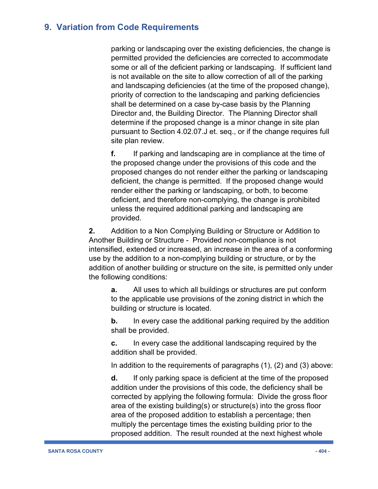parking or landscaping over the existing deficiencies, the change is permitted provided the deficiencies are corrected to accommodate some or all of the deficient parking or landscaping. If sufficient land is not available on the site to allow correction of all of the parking and landscaping deficiencies (at the time of the proposed change), priority of correction to the landscaping and parking deficiencies shall be determined on a case by-case basis by the Planning Director and, the Building Director. The Planning Director shall determine if the proposed change is a minor change in site plan pursuant to Section 4.02.07.J et. seq., or if the change requires full site plan review.

**f.** If parking and landscaping are in compliance at the time of the proposed change under the provisions of this code and the proposed changes do not render either the parking or landscaping deficient, the change is permitted. If the proposed change would render either the parking or landscaping, or both, to become deficient, and therefore non-complying, the change is prohibited unless the required additional parking and landscaping are provided.

**2.** Addition to a Non Complying Building or Structure or Addition to Another Building or Structure - Provided non-compliance is not intensified, extended or increased, an increase in the area of a conforming use by the addition to a non-complying building or structure, or by the addition of another building or structure on the site, is permitted only under the following conditions:

**a.** All uses to which all buildings or structures are put conform to the applicable use provisions of the zoning district in which the building or structure is located.

**b.** In every case the additional parking required by the addition shall be provided.

**c.** In every case the additional landscaping required by the addition shall be provided.

In addition to the requirements of paragraphs  $(1)$ ,  $(2)$  and  $(3)$  above:

**d.** If only parking space is deficient at the time of the proposed addition under the provisions of this code, the deficiency shall be corrected by applying the following formula: Divide the gross floor area of the existing building(s) or structure(s) into the gross floor area of the proposed addition to establish a percentage; then multiply the percentage times the existing building prior to the proposed addition. The result rounded at the next highest whole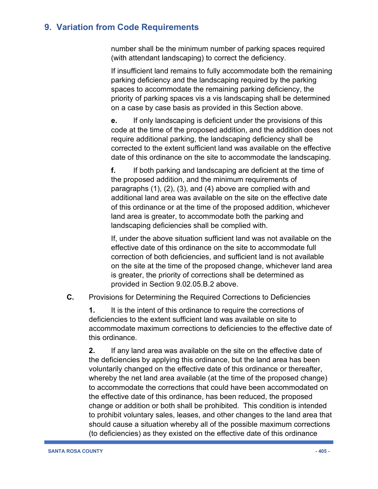number shall be the minimum number of parking spaces required (with attendant landscaping) to correct the deficiency.

If insufficient land remains to fully accommodate both the remaining parking deficiency and the landscaping required by the parking spaces to accommodate the remaining parking deficiency, the priority of parking spaces vis a vis landscaping shall be determined on a case by case basis as provided in this Section above.

**e.** If only landscaping is deficient under the provisions of this code at the time of the proposed addition, and the addition does not require additional parking, the landscaping deficiency shall be corrected to the extent sufficient land was available on the effective date of this ordinance on the site to accommodate the landscaping.

**f.** If both parking and landscaping are deficient at the time of the proposed addition, and the minimum requirements of paragraphs (1), (2), (3), and (4) above are complied with and additional land area was available on the site on the effective date of this ordinance or at the time of the proposed addition, whichever land area is greater, to accommodate both the parking and landscaping deficiencies shall be complied with.

If, under the above situation sufficient land was not available on the effective date of this ordinance on the site to accommodate full correction of both deficiencies, and sufficient land is not available on the site at the time of the proposed change, whichever land area is greater, the priority of corrections shall be determined as provided in Section 9.02.05.B.2 above.

**C.** Provisions for Determining the Required Corrections to Deficiencies

**1.** It is the intent of this ordinance to require the corrections of deficiencies to the extent sufficient land was available on site to accommodate maximum corrections to deficiencies to the effective date of this ordinance.

**2.** If any land area was available on the site on the effective date of the deficiencies by applying this ordinance, but the land area has been voluntarily changed on the effective date of this ordinance or thereafter, whereby the net land area available (at the time of the proposed change) to accommodate the corrections that could have been accommodated on the effective date of this ordinance, has been reduced, the proposed change or addition or both shall be prohibited. This condition is intended to prohibit voluntary sales, leases, and other changes to the land area that should cause a situation whereby all of the possible maximum corrections (to deficiencies) as they existed on the effective date of this ordinance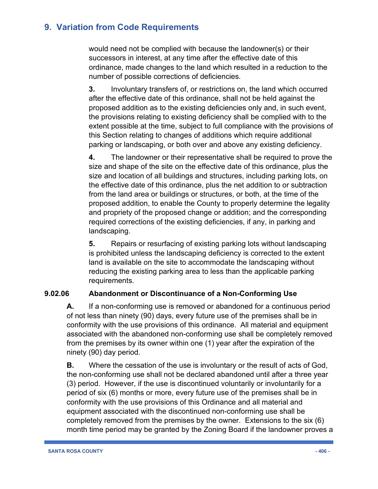would need not be complied with because the landowner(s) or their successors in interest, at any time after the effective date of this ordinance, made changes to the land which resulted in a reduction to the number of possible corrections of deficiencies.

**3.** Involuntary transfers of, or restrictions on, the land which occurred after the effective date of this ordinance, shall not be held against the proposed addition as to the existing deficiencies only and, in such event, the provisions relating to existing deficiency shall be complied with to the extent possible at the time, subject to full compliance with the provisions of this Section relating to changes of additions which require additional parking or landscaping, or both over and above any existing deficiency.

**4.** The landowner or their representative shall be required to prove the size and shape of the site on the effective date of this ordinance, plus the size and location of all buildings and structures, including parking lots, on the effective date of this ordinance, plus the net addition to or subtraction from the land area or buildings or structures, or both, at the time of the proposed addition, to enable the County to properly determine the legality and propriety of the proposed change or addition; and the corresponding required corrections of the existing deficiencies, if any, in parking and landscaping.

**5.** Repairs or resurfacing of existing parking lots without landscaping is prohibited unless the landscaping deficiency is corrected to the extent land is available on the site to accommodate the landscaping without reducing the existing parking area to less than the applicable parking requirements.

#### **9.02.06 Abandonment or Discontinuance of a Non-Conforming Use**

**A.** If a non-conforming use is removed or abandoned for a continuous period of not less than ninety (90) days, every future use of the premises shall be in conformity with the use provisions of this ordinance. All material and equipment associated with the abandoned non-conforming use shall be completely removed from the premises by its owner within one (1) year after the expiration of the ninety (90) day period.

**B.** Where the cessation of the use is involuntary or the result of acts of God, the non-conforming use shall not be declared abandoned until after a three year (3) period. However, if the use is discontinued voluntarily or involuntarily for a period of six (6) months or more, every future use of the premises shall be in conformity with the use provisions of this Ordinance and all material and equipment associated with the discontinued non-conforming use shall be completely removed from the premises by the owner. Extensions to the six (6) month time period may be granted by the Zoning Board if the landowner proves a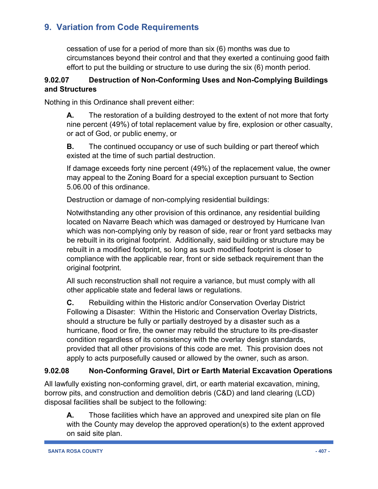cessation of use for a period of more than six (6) months was due to circumstances beyond their control and that they exerted a continuing good faith effort to put the building or structure to use during the six (6) month period.

#### **9.02.07 Destruction of Non-Conforming Uses and Non-Complying Buildings and Structures**

Nothing in this Ordinance shall prevent either:

**A.** The restoration of a building destroyed to the extent of not more that forty nine percent (49%) of total replacement value by fire, explosion or other casualty, or act of God, or public enemy, or

**B.** The continued occupancy or use of such building or part thereof which existed at the time of such partial destruction.

If damage exceeds forty nine percent (49%) of the replacement value, the owner may appeal to the Zoning Board for a special exception pursuant to Section 5.06.00 of this ordinance.

Destruction or damage of non-complying residential buildings:

Notwithstanding any other provision of this ordinance, any residential building located on Navarre Beach which was damaged or destroyed by Hurricane Ivan which was non-complying only by reason of side, rear or front yard setbacks may be rebuilt in its original footprint. Additionally, said building or structure may be rebuilt in a modified footprint, so long as such modified footprint is closer to compliance with the applicable rear, front or side setback requirement than the original footprint.

All such reconstruction shall not require a variance, but must comply with all other applicable state and federal laws or regulations.

**C.** Rebuilding within the Historic and/or Conservation Overlay District Following a Disaster: Within the Historic and Conservation Overlay Districts, should a structure be fully or partially destroyed by a disaster such as a hurricane, flood or fire, the owner may rebuild the structure to its pre-disaster condition regardless of its consistency with the overlay design standards, provided that all other provisions of this code are met. This provision does not apply to acts purposefully caused or allowed by the owner, such as arson.

#### **9.02.08 Non-Conforming Gravel, Dirt or Earth Material Excavation Operations**

All lawfully existing non-conforming gravel, dirt, or earth material excavation, mining, borrow pits, and construction and demolition debris (C&D) and land clearing (LCD) disposal facilities shall be subject to the following:

**A.** Those facilities which have an approved and unexpired site plan on file with the County may develop the approved operation(s) to the extent approved on said site plan.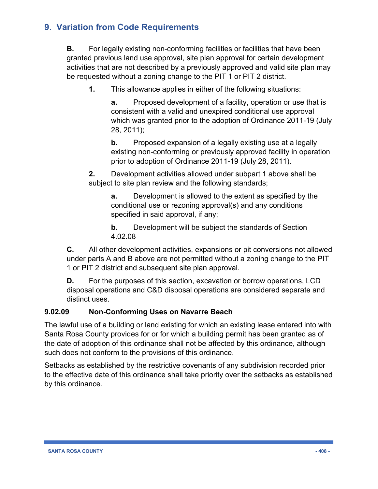**B.** For legally existing non-conforming facilities or facilities that have been granted previous land use approval, site plan approval for certain development activities that are not described by a previously approved and valid site plan may be requested without a zoning change to the PIT 1 or PIT 2 district.

**1.** This allowance applies in either of the following situations:

**a.** Proposed development of a facility, operation or use that is consistent with a valid and unexpired conditional use approval which was granted prior to the adoption of Ordinance 2011-19 (July 28, 2011);

**b.** Proposed expansion of a legally existing use at a legally existing non-conforming or previously approved facility in operation prior to adoption of Ordinance 2011-19 (July 28, 2011).

**2.** Development activities allowed under subpart 1 above shall be subject to site plan review and the following standards;

**a.** Development is allowed to the extent as specified by the conditional use or rezoning approval(s) and any conditions specified in said approval, if any;

**b.** Development will be subject the standards of Section 4.02.08

**C.** All other development activities, expansions or pit conversions not allowed under parts A and B above are not permitted without a zoning change to the PIT 1 or PIT 2 district and subsequent site plan approval.

**D.** For the purposes of this section, excavation or borrow operations, LCD disposal operations and C&D disposal operations are considered separate and distinct uses.

#### **9.02.09 Non-Conforming Uses on Navarre Beach**

The lawful use of a building or land existing for which an existing lease entered into with Santa Rosa County provides for or for which a building permit has been granted as of the date of adoption of this ordinance shall not be affected by this ordinance, although such does not conform to the provisions of this ordinance.

Setbacks as established by the restrictive covenants of any subdivision recorded prior to the effective date of this ordinance shall take priority over the setbacks as established by this ordinance.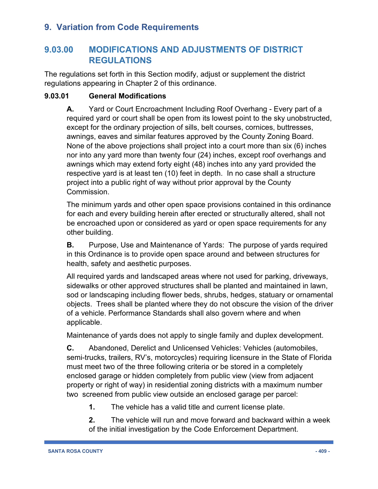# **9.03.00 MODIFICATIONS AND ADJUSTMENTS OF DISTRICT REGULATIONS**

The regulations set forth in this Section modify, adjust or supplement the district regulations appearing in Chapter 2 of this ordinance.

#### **9.03.01 General Modifications**

**A.** Yard or Court Encroachment Including Roof Overhang - Every part of a required yard or court shall be open from its lowest point to the sky unobstructed, except for the ordinary projection of sills, belt courses, cornices, buttresses, awnings, eaves and similar features approved by the County Zoning Board. None of the above projections shall project into a court more than six (6) inches nor into any yard more than twenty four (24) inches, except roof overhangs and awnings which may extend forty eight (48) inches into any yard provided the respective yard is at least ten (10) feet in depth. In no case shall a structure project into a public right of way without prior approval by the County Commission.

The minimum yards and other open space provisions contained in this ordinance for each and every building herein after erected or structurally altered, shall not be encroached upon or considered as yard or open space requirements for any other building.

**B.** Purpose, Use and Maintenance of Yards: The purpose of yards required in this Ordinance is to provide open space around and between structures for health, safety and aesthetic purposes.

All required yards and landscaped areas where not used for parking, driveways, sidewalks or other approved structures shall be planted and maintained in lawn, sod or landscaping including flower beds, shrubs, hedges, statuary or ornamental objects. Trees shall be planted where they do not obscure the vision of the driver of a vehicle. Performance Standards shall also govern where and when applicable.

Maintenance of yards does not apply to single family and duplex development.

**C.** Abandoned, Derelict and Unlicensed Vehicles: Vehicles (automobiles, semi-trucks, trailers, RV's, motorcycles) requiring licensure in the State of Florida must meet two of the three following criteria or be stored in a completely enclosed garage or hidden completely from public view (view from adjacent property or right of way) in residential zoning districts with a maximum number two screened from public view outside an enclosed garage per parcel:

**1.** The vehicle has a valid title and current license plate.

**2.** The vehicle will run and move forward and backward within a week of the initial investigation by the Code Enforcement Department.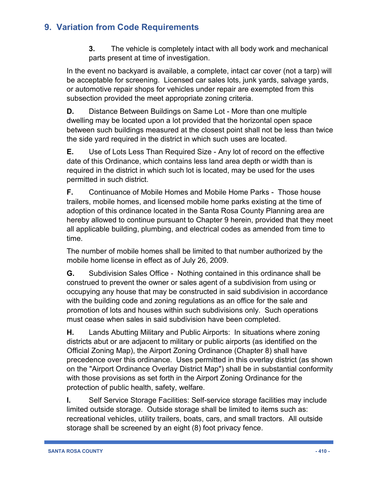**3.** The vehicle is completely intact with all body work and mechanical parts present at time of investigation.

In the event no backyard is available, a complete, intact car cover (not a tarp) will be acceptable for screening. Licensed car sales lots, junk yards, salvage yards, or automotive repair shops for vehicles under repair are exempted from this subsection provided the meet appropriate zoning criteria.

**D.** Distance Between Buildings on Same Lot - More than one multiple dwelling may be located upon a lot provided that the horizontal open space between such buildings measured at the closest point shall not be less than twice the side yard required in the district in which such uses are located.

**E.** Use of Lots Less Than Required Size - Any lot of record on the effective date of this Ordinance, which contains less land area depth or width than is required in the district in which such lot is located, may be used for the uses permitted in such district.

**F.** Continuance of Mobile Homes and Mobile Home Parks - Those house trailers, mobile homes, and licensed mobile home parks existing at the time of adoption of this ordinance located in the Santa Rosa County Planning area are hereby allowed to continue pursuant to Chapter 9 herein, provided that they meet all applicable building, plumbing, and electrical codes as amended from time to time.

The number of mobile homes shall be limited to that number authorized by the mobile home license in effect as of July 26, 2009.

**G.** Subdivision Sales Office - Nothing contained in this ordinance shall be construed to prevent the owner or sales agent of a subdivision from using or occupying any house that may be constructed in said subdivision in accordance with the building code and zoning regulations as an office for the sale and promotion of lots and houses within such subdivisions only. Such operations must cease when sales in said subdivision have been completed.

**H.** Lands Abutting Military and Public Airports: In situations where zoning districts abut or are adjacent to military or public airports (as identified on the Official Zoning Map), the Airport Zoning Ordinance (Chapter 8) shall have precedence over this ordinance. Uses permitted in this overlay district (as shown on the "Airport Ordinance Overlay District Map") shall be in substantial conformity with those provisions as set forth in the Airport Zoning Ordinance for the protection of public health, safety, welfare.

**I.** Self Service Storage Facilities: Self-service storage facilities may include limited outside storage. Outside storage shall be limited to items such as: recreational vehicles, utility trailers, boats, cars, and small tractors. All outside storage shall be screened by an eight (8) foot privacy fence.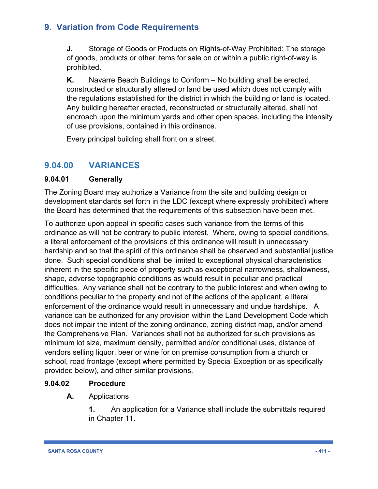**J.** Storage of Goods or Products on Rights-of-Way Prohibited: The storage of goods, products or other items for sale on or within a public right-of-way is prohibited.

**K.** Navarre Beach Buildings to Conform – No building shall be erected, constructed or structurally altered or land be used which does not comply with the regulations established for the district in which the building or land is located. Any building hereafter erected, reconstructed or structurally altered, shall not encroach upon the minimum yards and other open spaces, including the intensity of use provisions, contained in this ordinance.

Every principal building shall front on a street.

# **9.04.00 VARIANCES**

#### **9.04.01 Generally**

The Zoning Board may authorize a Variance from the site and building design or development standards set forth in the LDC (except where expressly prohibited) where the Board has determined that the requirements of this subsection have been met.

To authorize upon appeal in specific cases such variance from the terms of this ordinance as will not be contrary to public interest. Where, owing to special conditions, a literal enforcement of the provisions of this ordinance will result in unnecessary hardship and so that the spirit of this ordinance shall be observed and substantial justice done. Such special conditions shall be limited to exceptional physical characteristics inherent in the specific piece of property such as exceptional narrowness, shallowness, shape, adverse topographic conditions as would result in peculiar and practical difficulties. Any variance shall not be contrary to the public interest and when owing to conditions peculiar to the property and not of the actions of the applicant, a literal enforcement of the ordinance would result in unnecessary and undue hardships. A variance can be authorized for any provision within the Land Development Code which does not impair the intent of the zoning ordinance, zoning district map, and/or amend the Comprehensive Plan. Variances shall not be authorized for such provisions as minimum lot size, maximum density, permitted and/or conditional uses, distance of vendors selling liquor, beer or wine for on premise consumption from a church or school, road frontage (except where permitted by Special Exception or as specifically provided below), and other similar provisions.

#### **9.04.02 Procedure**

**A.** Applications

**1.** An application for a Variance shall include the submittals required in Chapter 11.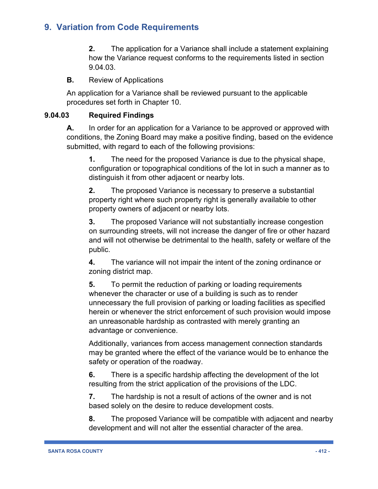**2.** The application for a Variance shall include a statement explaining how the Variance request conforms to the requirements listed in section 9.04.03.

**B.** Review of Applications

An application for a Variance shall be reviewed pursuant to the applicable procedures set forth in Chapter 10.

#### **9.04.03 Required Findings**

**A.** In order for an application for a Variance to be approved or approved with conditions, the Zoning Board may make a positive finding, based on the evidence submitted, with regard to each of the following provisions:

**1.** The need for the proposed Variance is due to the physical shape, configuration or topographical conditions of the lot in such a manner as to distinguish it from other adjacent or nearby lots.

**2.** The proposed Variance is necessary to preserve a substantial property right where such property right is generally available to other property owners of adjacent or nearby lots.

**3.** The proposed Variance will not substantially increase congestion on surrounding streets, will not increase the danger of fire or other hazard and will not otherwise be detrimental to the health, safety or welfare of the public.

**4.** The variance will not impair the intent of the zoning ordinance or zoning district map.

**5.** To permit the reduction of parking or loading requirements whenever the character or use of a building is such as to render unnecessary the full provision of parking or loading facilities as specified herein or whenever the strict enforcement of such provision would impose an unreasonable hardship as contrasted with merely granting an advantage or convenience.

Additionally, variances from access management connection standards may be granted where the effect of the variance would be to enhance the safety or operation of the roadway.

**6.** There is a specific hardship affecting the development of the lot resulting from the strict application of the provisions of the LDC.

**7.** The hardship is not a result of actions of the owner and is not based solely on the desire to reduce development costs.

**8.** The proposed Variance will be compatible with adjacent and nearby development and will not alter the essential character of the area.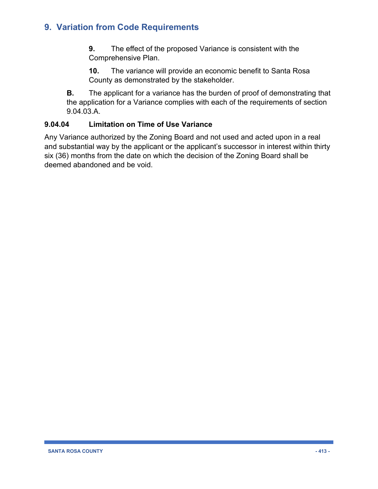**9.** The effect of the proposed Variance is consistent with the Comprehensive Plan.

**10.** The variance will provide an economic benefit to Santa Rosa County as demonstrated by the stakeholder.

**B.** The applicant for a variance has the burden of proof of demonstrating that the application for a Variance complies with each of the requirements of section 9.04.03.A.

#### **9.04.04 Limitation on Time of Use Variance**

Any Variance authorized by the Zoning Board and not used and acted upon in a real and substantial way by the applicant or the applicant's successor in interest within thirty six (36) months from the date on which the decision of the Zoning Board shall be deemed abandoned and be void.